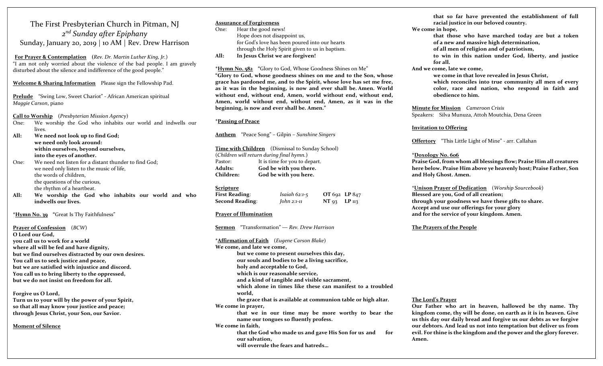# The First Presbyterian Church in Pitman, NJ 2<sup>nd</sup> Sunday after Epiphany Sunday, January 20, 2019 | 10 AM | Rev. Drew Harrison

For Prayer & Contemplation (Rev. Dr. Martin Luther King, Jr.) "I am not only worried about the violence of the bad people. I am gravely disturbed about the silence and indifference of the good people."

### Welcome & Sharing Information Please sign the Fellowship Pad.

Prelude "Swing Low, Sweet Chariot" - African American spiritual Maggie Carson, piano

Call to Worship (Presbyterian Mission Agency)

- One: We worship the God who inhabits our world and indwells our lives.
- All: We need not look up to find God; we need only look around: within ourselves, beyond ourselves, into the eyes of another.
- One: We need not listen for a distant thunder to find God; we need only listen to the music of life, the words of children, the questions of the curious, the rhythm of a heartbeat.
- All: We worship the God who inhabits our world and who indwells our lives.

# \*Hymn No. 39 "Great Is Thy Faithfulness"

Prayer of Confession (BCW) O Lord our God, you call us to work for a world where all will be fed and have dignity, but we find ourselves distracted by our own desires. You call us to seek justice and peace, but we are satisfied with injustice and discord. You call us to bring liberty to the oppressed, but we do not insist on freedom for all.

Forgive us O Lord, Turn us to your will by the power of your Spirit, so that all may know your justice and peace; through Jesus Christ, your Son, our Savior.

Moment of Silence

# Assurance of Forgiveness

One: Hear the good news! Hope does not disappoint us, for God's love has been poured into our hearts through the Holy Spirit given to us in baptism.

All: In Jesus Christ we are forgiven!

\*Hymn No. 582 "Glory to God, Whose Goodness Shines on Me" "Glory to God, whose goodness shines on me and to the Son, whose grace has pardoned me, and to the Spirit, whose love has set me free, as it was in the beginning, is now and ever shall be. Amen. World without end, without end, Amen, world without end, without end, Amen, world without end, without end, Amen, as it was in the beginning, is now and ever shall be. Amen."

# \*Passing of Peace

Anthem "Peace Song" – Gilpin – Sunshine Singers

Time with Children (Dismissal to Sunday School) (Children will return during final hymn.) Pastor: It is time for you to depart. Adults: God be with you there. Children: God be with you here.

## Scripture

| <b>First Reading:</b> | Isaiah $62:1-5$ | OT 692 LP 847        |  |
|-----------------------|-----------------|----------------------|--|
| Second Reading:       | John 2:1-11     | $NT_{93}$ $LP_{113}$ |  |

# Prayer of Illumination

Sermon "Transformation" — Rev. Drew Harrison

\*Affirmation of Faith (Eugene Carson Blake) We come, and late we come, but we come to present ourselves this day, our souls and bodies to be a living sacrifice, holy and acceptable to God, which is our reasonable service, and a kind of tangible and visible sacrament, which alone in times like these can manifest to a troubled world, the grace that is available at communion table or high altar. We come in prayer, that we in our time may be more worthy to bear the name our tongues so fluently profess. We come in faith, that the God who made us and gave His Son for us and for our salvation, will overrule the fears and hatreds…

that so far have prevented the establishment of full racial justice in our beloved country.

- We come in hope,
	- that those who have marched today are but a token of a new and massive high determination,
	- of all men of religion and of patriotism,
	- to win in this nation under God, liberty, and justice for all.
- And we come, late we come,

we come in that love revealed in Jesus Christ, which reconciles into true community all men of every color, race and nation, who respond in faith and obedience to him.

Minute for Mission Cameroon Crisis Speakers: Silva Munuza, Attoh Moutchia, Dena Green

### Invitation to Offering

Offertory "This Little Light of Mine" - arr. Callahan

### \*Doxology No. 606

Praise God, from whom all blessings flow; Praise Him all creatures here below. Praise Him above ye heavenly host; Praise Father, Son and Holy Ghost. Amen.

\*Unison Prayer of Dedication (Worship Sourcebook) Blessed are you, God of all creation; through your goodness we have these gifts to share. Accept and use our offerings for your glory and for the service of your kingdom. Amen.

### The Prayers of the People

#### The Lord's Prayer

Our Father who art in heaven, hallowed be thy name. Thy kingdom come, thy will be done, on earth as it is in heaven. Give us this day our daily bread and forgive us our debts as we forgive our debtors. And lead us not into temptation but deliver us from evil. For thine is the kingdom and the power and the glory forever. Amen.